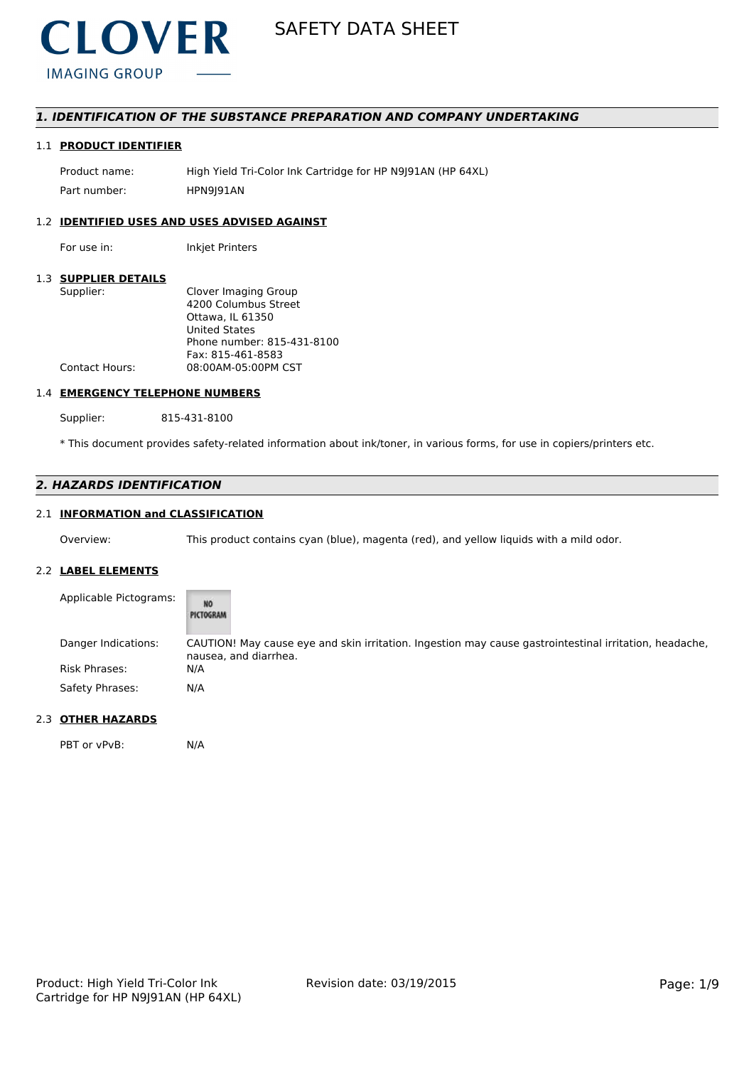

# *1. IDENTIFICATION OF THE SUBSTANCE PREPARATION AND COMPANY UNDERTAKING*

## 1.1 **PRODUCT IDENTIFIER**

Product name: High Yield Tri-Color Ink Cartridge for HP N9J91AN (HP 64XL) Part number: HPN9I91AN

#### 1.2 **IDENTIFIED USES AND USES ADVISED AGAINST**

For use in: Inkjet Printers

#### 1.3 **SUPPLIER DETAILS**

| Supplier:             | Clover Imaging Group       |
|-----------------------|----------------------------|
|                       | 4200 Columbus Street       |
|                       | Ottawa. IL 61350           |
|                       | <b>United States</b>       |
|                       | Phone number: 815-431-8100 |
|                       | Fax: 815-461-8583          |
| <b>Contact Hours:</b> | 08:00AM-05:00PM CST        |
|                       |                            |

## 1.4 **EMERGENCY TELEPHONE NUMBERS**

Supplier: 815-431-8100

\* This document provides safety-related information about ink/toner, in various forms, for use in copiers/printers etc.

# *2. HAZARDS IDENTIFICATION*

# 2.1 **INFORMATION and CLASSIFICATION**

Overview: This product contains cyan (blue), magenta (red), and yellow liquids with a mild odor.

#### 2.2 **LABEL ELEMENTS**

| Applicable Pictograms: | NO<br>PICTOGRAM                                                                                                                 |
|------------------------|---------------------------------------------------------------------------------------------------------------------------------|
| Danger Indications:    | CAUTION! May cause eye and skin irritation. Ingestion may cause gastrointestinal irritation, headache,<br>nausea, and diarrhea. |
| <b>Risk Phrases:</b>   | N/A                                                                                                                             |
| Safety Phrases:        | N/A                                                                                                                             |

# 2.3 **OTHER HAZARDS**

PBT or vPvB: N/A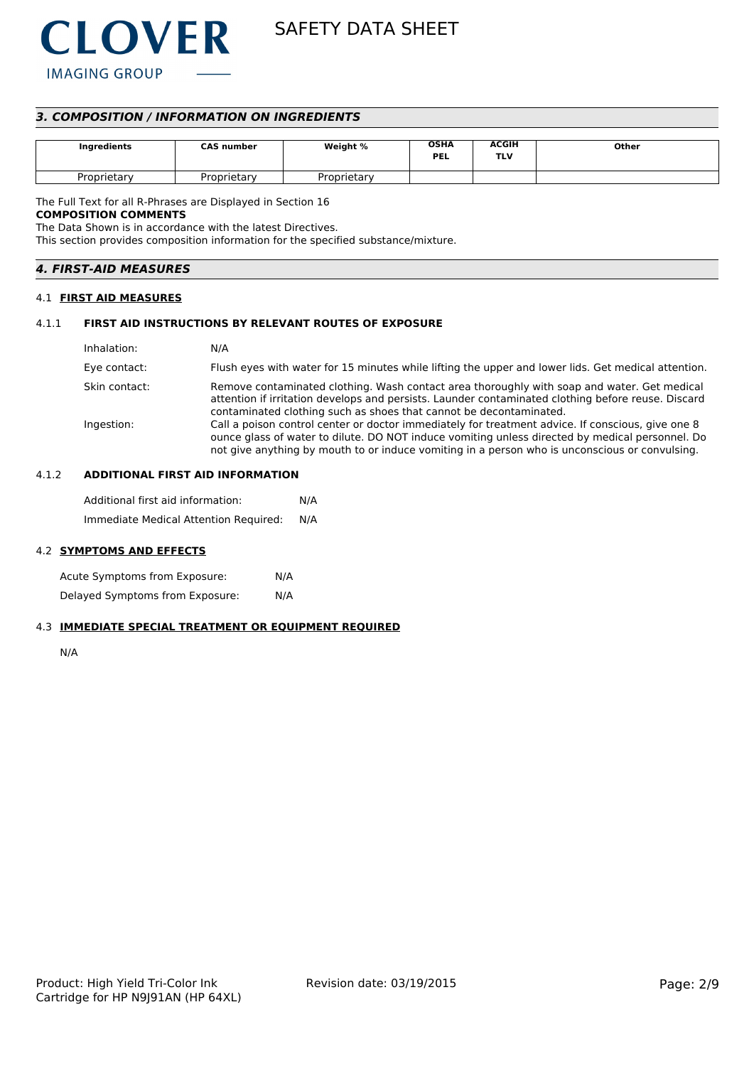

# *3. COMPOSITION / INFORMATION ON INGREDIENTS*

| Ingredients | <b>CAS number</b> | Weight %    | <b>OSHA</b><br><b>PEL</b> | <b>ACGIH</b><br>TLV | Other |
|-------------|-------------------|-------------|---------------------------|---------------------|-------|
| Proprietary | Proprietary       | Proprietarv |                           |                     |       |

The Full Text for all R-Phrases are Displayed in Section 16

# **COMPOSITION COMMENTS**

The Data Shown is in accordance with the latest Directives.

This section provides composition information for the specified substance/mixture.

| <i><b>4. FIRST-AID MEASURES</b></i> |  |
|-------------------------------------|--|
|-------------------------------------|--|

#### 4.1 **FIRST AID MEASURES**

#### 4.1.1 **FIRST AID INSTRUCTIONS BY RELEVANT ROUTES OF EXPOSURE**

| Inhalation:   | N/A                                                                                                                                                                                                                                                                                                    |
|---------------|--------------------------------------------------------------------------------------------------------------------------------------------------------------------------------------------------------------------------------------------------------------------------------------------------------|
| Eye contact:  | Flush eyes with water for 15 minutes while lifting the upper and lower lids. Get medical attention.                                                                                                                                                                                                    |
| Skin contact: | Remove contaminated clothing. Wash contact area thoroughly with soap and water. Get medical<br>attention if irritation develops and persists. Launder contaminated clothing before reuse. Discard<br>contaminated clothing such as shoes that cannot be decontaminated.                                |
| Ingestion:    | Call a poison control center or doctor immediately for treatment advice. If conscious, give one 8<br>ounce glass of water to dilute. DO NOT induce vomiting unless directed by medical personnel. Do<br>not give anything by mouth to or induce vomiting in a person who is unconscious or convulsing. |

#### 4.1.2 **ADDITIONAL FIRST AID INFORMATION**

Additional first aid information: N/A Immediate Medical Attention Required: N/A

#### 4.2 **SYMPTOMS AND EFFECTS**

Acute Symptoms from Exposure: N/A Delayed Symptoms from Exposure: N/A

## 4.3 **IMMEDIATE SPECIAL TREATMENT OR EQUIPMENT REQUIRED**

N/A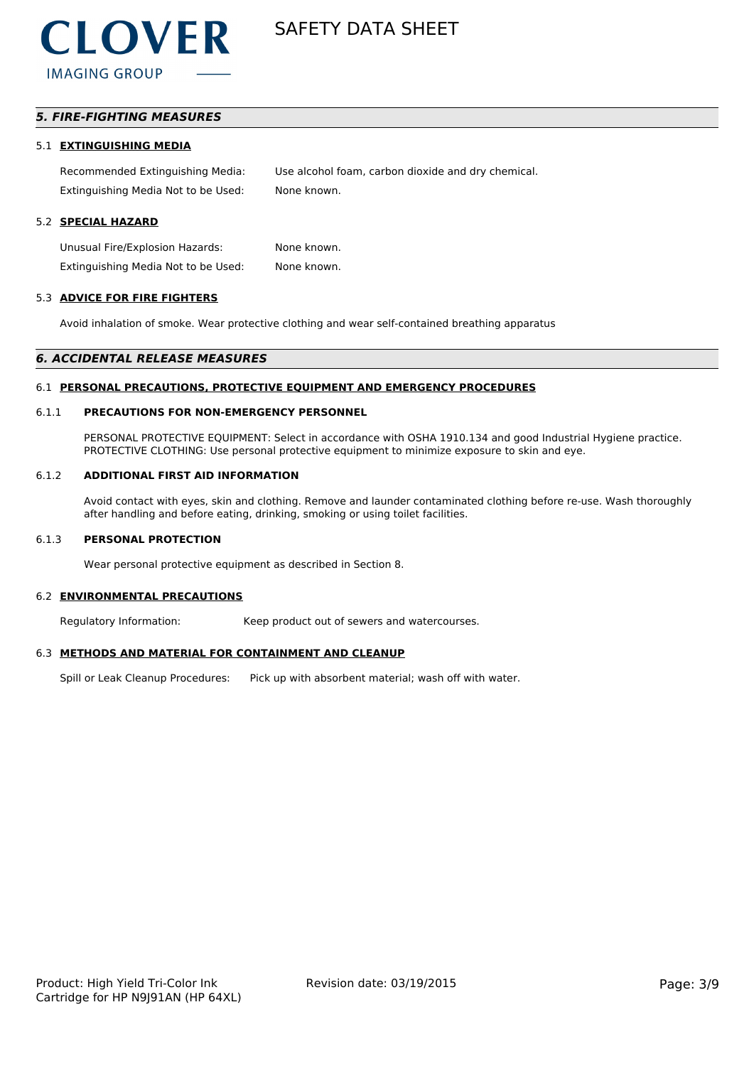

# *5. FIRE-FIGHTING MEASURES*

#### 5.1 **EXTINGUISHING MEDIA**

Recommended Extinguishing Media: Use alcohol foam, carbon dioxide and dry chemical. Extinguishing Media Not to be Used: None known.

#### 5.2 **SPECIAL HAZARD**

Unusual Fire/Explosion Hazards: None known. Extinguishing Media Not to be Used: None known.

#### 5.3 **ADVICE FOR FIRE FIGHTERS**

Avoid inhalation of smoke. Wear protective clothing and wear self-contained breathing apparatus

#### *6. ACCIDENTAL RELEASE MEASURES*

#### 6.1 **PERSONAL PRECAUTIONS, PROTECTIVE EQUIPMENT AND EMERGENCY PROCEDURES**

#### 6.1.1 **PRECAUTIONS FOR NON-EMERGENCY PERSONNEL**

PERSONAL PROTECTIVE EQUIPMENT: Select in accordance with OSHA 1910.134 and good Industrial Hygiene practice. PROTECTIVE CLOTHING: Use personal protective equipment to minimize exposure to skin and eye.

#### 6.1.2 **ADDITIONAL FIRST AID INFORMATION**

Avoid contact with eyes, skin and clothing. Remove and launder contaminated clothing before re-use. Wash thoroughly after handling and before eating, drinking, smoking or using toilet facilities.

#### 6.1.3 **PERSONAL PROTECTION**

Wear personal protective equipment as described in Section 8.

#### 6.2 **ENVIRONMENTAL PRECAUTIONS**

Regulatory Information: Keep product out of sewers and watercourses.

#### 6.3 **METHODS AND MATERIAL FOR CONTAINMENT AND CLEANUP**

Spill or Leak Cleanup Procedures: Pick up with absorbent material; wash off with water.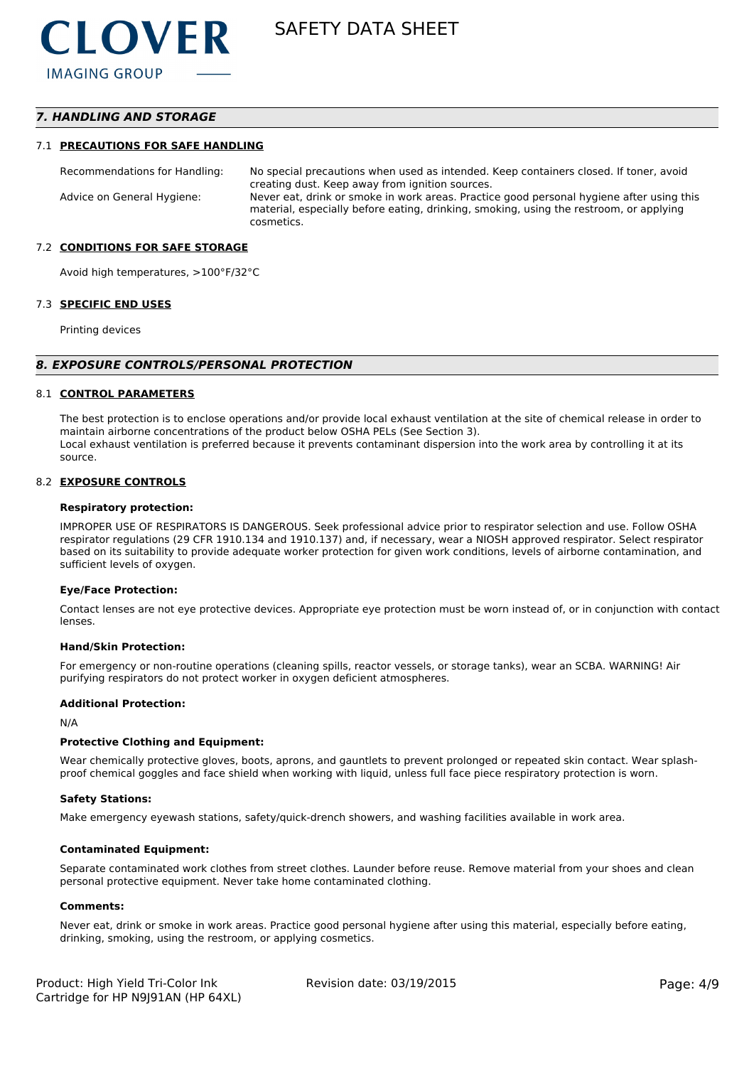# *7. HANDLING AND STORAGE*

#### 7.1 **PRECAUTIONS FOR SAFE HANDLING**

Recommendations for Handling: No special precautions when used as intended. Keep containers closed. If toner, avoid creating dust. Keep away from ignition sources. Advice on General Hygiene: Never eat, drink or smoke in work areas. Practice good personal hygiene after using this material, especially before eating, drinking, smoking, using the restroom, or applying cosmetics.

#### 7.2 **CONDITIONS FOR SAFE STORAGE**

Avoid high temperatures, >100°F/32°C

#### 7.3 **SPECIFIC END USES**

Printing devices

#### *8. EXPOSURE CONTROLS/PERSONAL PROTECTION*

#### 8.1 **CONTROL PARAMETERS**

The best protection is to enclose operations and/or provide local exhaust ventilation at the site of chemical release in order to maintain airborne concentrations of the product below OSHA PELs (See Section 3). Local exhaust ventilation is preferred because it prevents contaminant dispersion into the work area by controlling it at its source.

#### 8.2 **EXPOSURE CONTROLS**

#### **Respiratory protection:**

IMPROPER USE OF RESPIRATORS IS DANGEROUS. Seek professional advice prior to respirator selection and use. Follow OSHA respirator regulations (29 CFR 1910.134 and 1910.137) and, if necessary, wear a NIOSH approved respirator. Select respirator based on its suitability to provide adequate worker protection for given work conditions, levels of airborne contamination, and sufficient levels of oxygen.

#### **Eye/Face Protection:**

Contact lenses are not eye protective devices. Appropriate eye protection must be worn instead of, or in conjunction with contact lenses.

#### **Hand/Skin Protection:**

For emergency or non-routine operations (cleaning spills, reactor vessels, or storage tanks), wear an SCBA. WARNING! Air purifying respirators do not protect worker in oxygen deficient atmospheres.

#### **Additional Protection:**

N/A

#### **Protective Clothing and Equipment:**

Wear chemically protective gloves, boots, aprons, and gauntlets to prevent prolonged or repeated skin contact. Wear splashproof chemical goggles and face shield when working with liquid, unless full face piece respiratory protection is worn.

#### **Safety Stations:**

Make emergency eyewash stations, safety/quick-drench showers, and washing facilities available in work area.

#### **Contaminated Equipment:**

Separate contaminated work clothes from street clothes. Launder before reuse. Remove material from your shoes and clean personal protective equipment. Never take home contaminated clothing.

#### **Comments:**

Never eat, drink or smoke in work areas. Practice good personal hygiene after using this material, especially before eating, drinking, smoking, using the restroom, or applying cosmetics.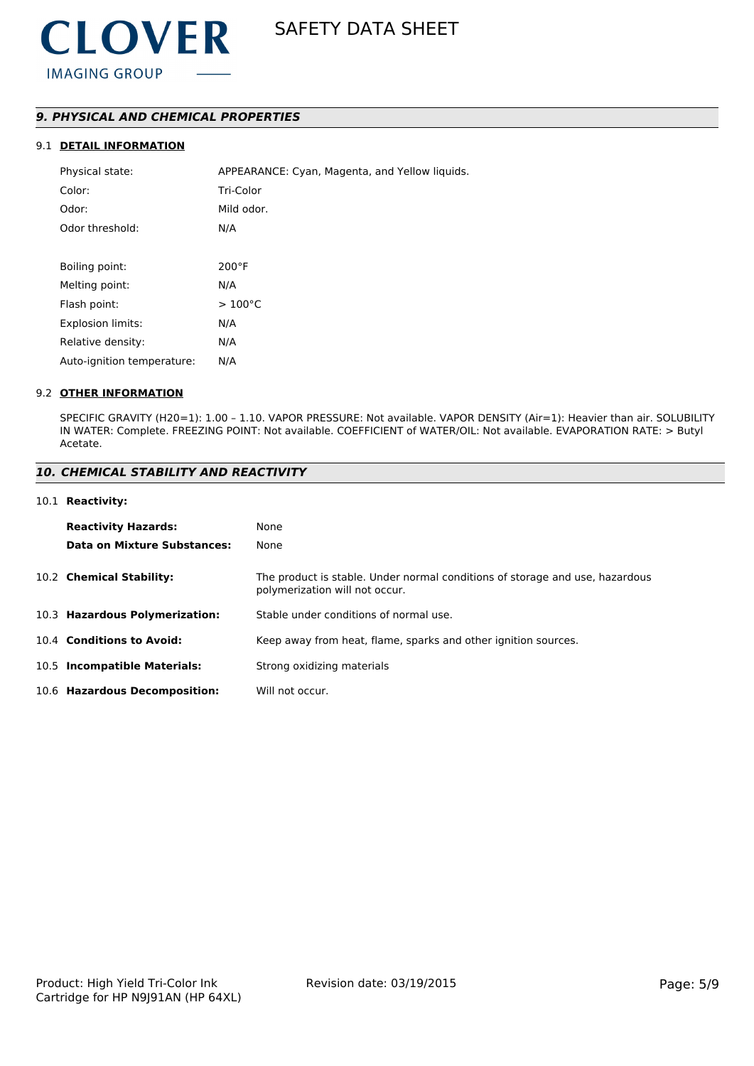# *9. PHYSICAL AND CHEMICAL PROPERTIES*

# 9.1 **DETAIL INFORMATION**

| Physical state:            | APPEARANCE: Cyan, Magenta, and Yellow liquids. |
|----------------------------|------------------------------------------------|
| Color:                     | Tri-Color                                      |
| Odor:                      | Mild odor.                                     |
| Odor threshold:            | N/A                                            |
|                            |                                                |
| Boiling point:             | $200^{\circ}$ F                                |
| Melting point:             | N/A                                            |
| Flash point:               | $>100^{\circ}$ C                               |
| <b>Explosion limits:</b>   | N/A                                            |
| Relative density:          | N/A                                            |
| Auto-ignition temperature: | N/A                                            |

### 9.2 **OTHER INFORMATION**

SPECIFIC GRAVITY (H20=1): 1.00 – 1.10. VAPOR PRESSURE: Not available. VAPOR DENSITY (Air=1): Heavier than air. SOLUBILITY IN WATER: Complete. FREEZING POINT: Not available. COEFFICIENT of WATER/OIL: Not available. EVAPORATION RATE: > Butyl Acetate.

#### *10. CHEMICAL STABILITY AND REACTIVITY*

#### 10.1 **Reactivity:**

| <b>Reactivity Hazards:</b>     | None                                                                                                           |
|--------------------------------|----------------------------------------------------------------------------------------------------------------|
| Data on Mixture Substances:    | None                                                                                                           |
| 10.2 Chemical Stability:       | The product is stable. Under normal conditions of storage and use, hazardous<br>polymerization will not occur. |
| 10.3 Hazardous Polymerization: | Stable under conditions of normal use.                                                                         |
| 10.4 Conditions to Avoid:      | Keep away from heat, flame, sparks and other ignition sources.                                                 |
| 10.5 Incompatible Materials:   | Strong oxidizing materials                                                                                     |
| 10.6 Hazardous Decomposition:  | Will not occur.                                                                                                |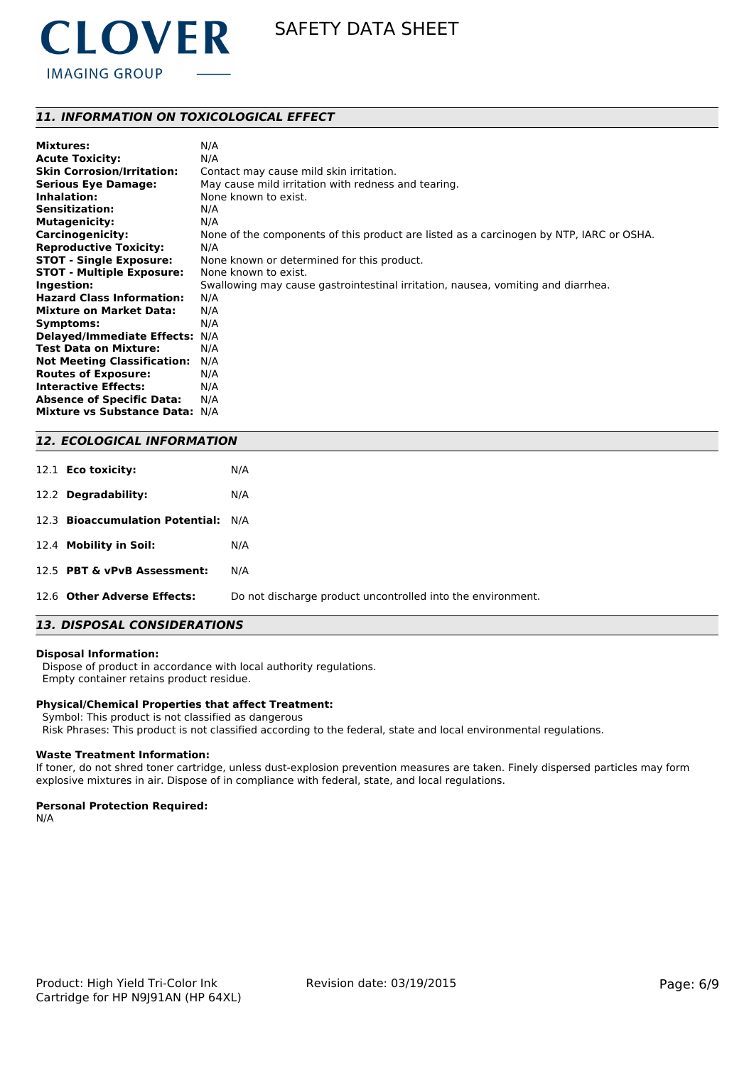

# *11. INFORMATION ON TOXICOLOGICAL EFFECT*

| <b>Mixtures:</b>                   | N/A                                                                                     |
|------------------------------------|-----------------------------------------------------------------------------------------|
| <b>Acute Toxicity:</b>             | N/A                                                                                     |
| <b>Skin Corrosion/Irritation:</b>  | Contact may cause mild skin irritation.                                                 |
| <b>Serious Eye Damage:</b>         | May cause mild irritation with redness and tearing.                                     |
| Inhalation:                        | None known to exist.                                                                    |
| <b>Sensitization:</b>              | N/A                                                                                     |
| <b>Mutagenicity:</b>               | N/A                                                                                     |
| <b>Carcinogenicity:</b>            | None of the components of this product are listed as a carcinogen by NTP, IARC or OSHA. |
| <b>Reproductive Toxicity:</b>      | N/A                                                                                     |
| <b>STOT - Single Exposure:</b>     | None known or determined for this product.                                              |
| <b>STOT - Multiple Exposure:</b>   | None known to exist.                                                                    |
| Ingestion:                         | Swallowing may cause gastrointestinal irritation, nausea, vomiting and diarrhea.        |
| <b>Hazard Class Information:</b>   | N/A                                                                                     |
| <b>Mixture on Market Data:</b>     | N/A                                                                                     |
| Symptoms:                          | N/A                                                                                     |
| <b>Delayed/Immediate Effects:</b>  | N/A                                                                                     |
| <b>Test Data on Mixture:</b>       | N/A                                                                                     |
| <b>Not Meeting Classification:</b> | N/A                                                                                     |
| <b>Routes of Exposure:</b>         | N/A                                                                                     |
| <b>Interactive Effects:</b>        | N/A                                                                                     |
| <b>Absence of Specific Data:</b>   | N/A                                                                                     |
| Mixture vs Substance Data: N/A     |                                                                                         |

### *12. ECOLOGICAL INFORMATION*

| 12.1 <b>Eco toxicity:</b>           | N/A                                                         |
|-------------------------------------|-------------------------------------------------------------|
| 12.2 Degradability:                 | N/A                                                         |
| 12.3 Bioaccumulation Potential: N/A |                                                             |
| 12.4 Mobility in Soil:              | N/A                                                         |
| 12.5 PBT & vPvB Assessment:         | N/A                                                         |
| 12.6 Other Adverse Effects:         | Do not discharge product uncontrolled into the environment. |

# *13. DISPOSAL CONSIDERATIONS*

#### **Disposal Information:**

 Dispose of product in accordance with local authority regulations. Empty container retains product residue.

#### **Physical/Chemical Properties that affect Treatment:**

Symbol: This product is not classified as dangerous

Risk Phrases: This product is not classified according to the federal, state and local environmental regulations.

#### **Waste Treatment Information:**

If toner, do not shred toner cartridge, unless dust-explosion prevention measures are taken. Finely dispersed particles may form explosive mixtures in air. Dispose of in compliance with federal, state, and local regulations.

#### **Personal Protection Required:**

N/A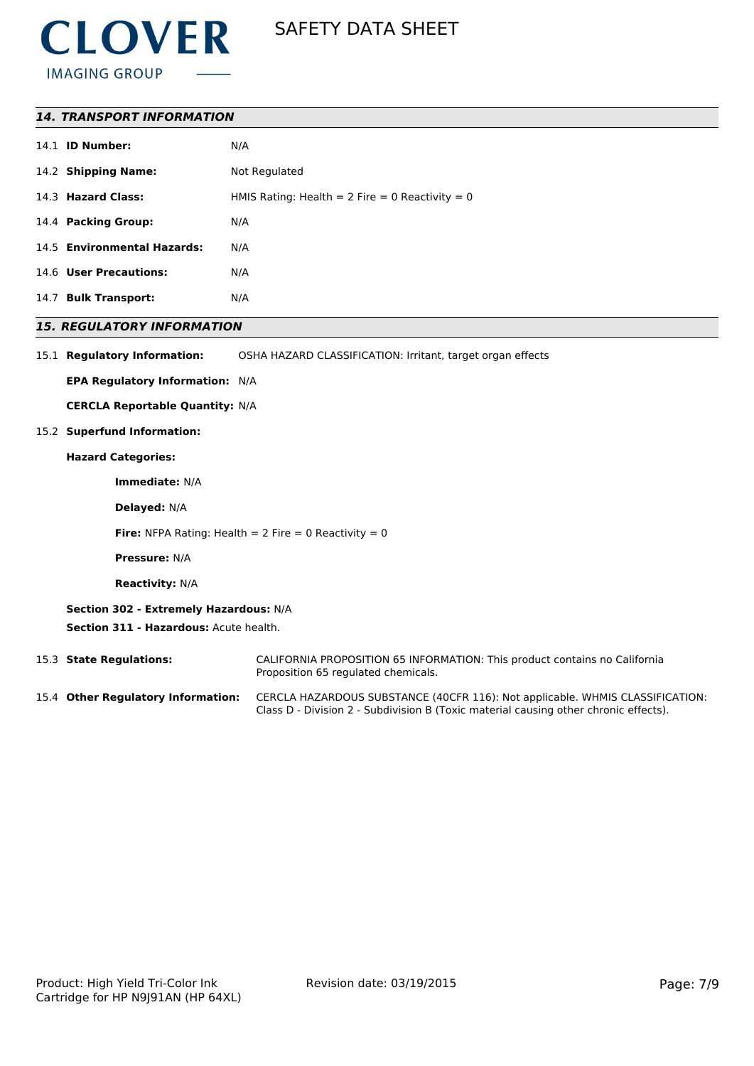

## *14. TRANSPORT INFORMATION*

|      | 14.1 <b>ID Number:</b>      | N/A                                               |
|------|-----------------------------|---------------------------------------------------|
|      | 14.2 Shipping Name:         | Not Regulated                                     |
|      | 14.3 Hazard Class:          | HMIS Rating: Health = $2$ Fire = 0 Reactivity = 0 |
|      | 14.4 Packing Group:         | N/A                                               |
|      | 14.5 Environmental Hazards: | N/A                                               |
|      | 14.6 User Precautions:      | N/A                                               |
| 14.7 | <b>Bulk Transport:</b>      | N/A                                               |

#### *15. REGULATORY INFORMATION*

15.1 **Regulatory Information:** OSHA HAZARD CLASSIFICATION: Irritant, target organ effects

**EPA Regulatory Information:** N/A

**CERCLA Reportable Quantity:** N/A

#### 15.2 **Superfund Information:**

#### **Hazard Categories:**

**Immediate:** N/A

**Delayed:** N/A

**Fire:** NFPA Rating: Health =  $2$  Fire =  $0$  Reactivity =  $0$ 

**Pressure:** N/A

**Reactivity:** N/A

**Section 302 - Extremely Hazardous:** N/A **Section 311 - Hazardous:** Acute health.

15.3 **State Regulations:** CALIFORNIA PROPOSITION 65 INFORMATION: This product contains no California Proposition 65 regulated chemicals.

15.4 **Other Regulatory Information:** CERCLA HAZARDOUS SUBSTANCE (40CFR 116): Not applicable. WHMIS CLASSIFICATION: Class D - Division 2 - Subdivision B (Toxic material causing other chronic effects).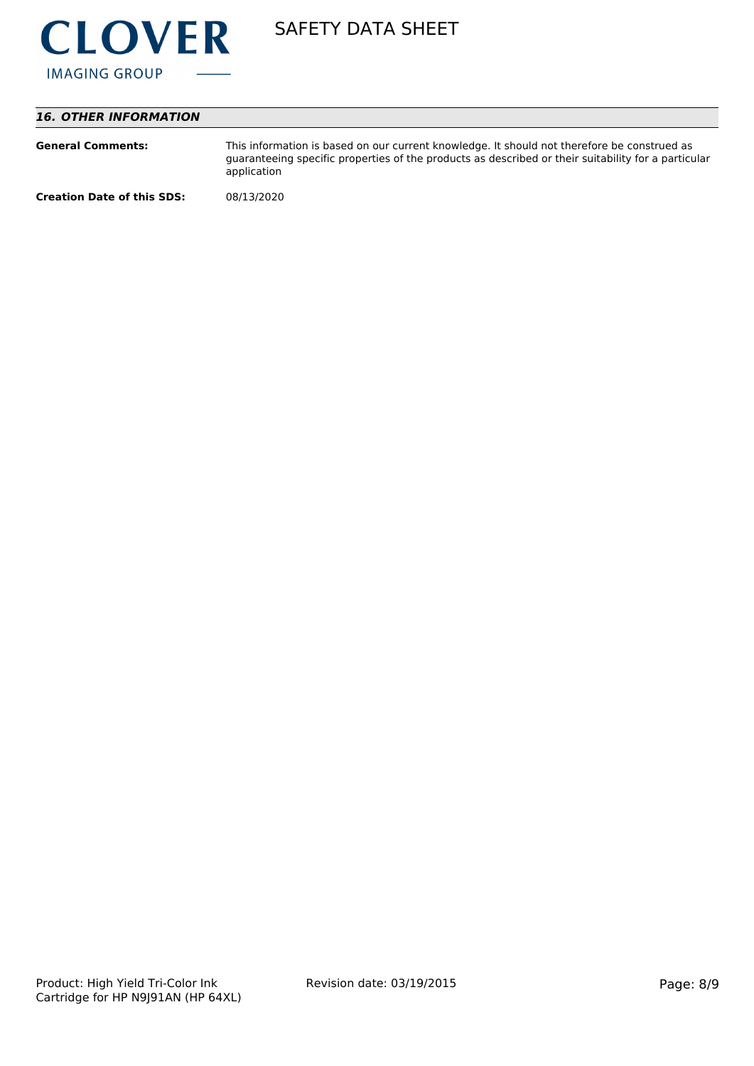

# *16. OTHER INFORMATION*

| <b>General Comments:</b>          | This information is based on our current knowledge. It should not therefore be construed as<br>guaranteeing specific properties of the products as described or their suitability for a particular<br>application |
|-----------------------------------|-------------------------------------------------------------------------------------------------------------------------------------------------------------------------------------------------------------------|
| <b>Creation Date of this SDS:</b> | 08/13/2020                                                                                                                                                                                                        |